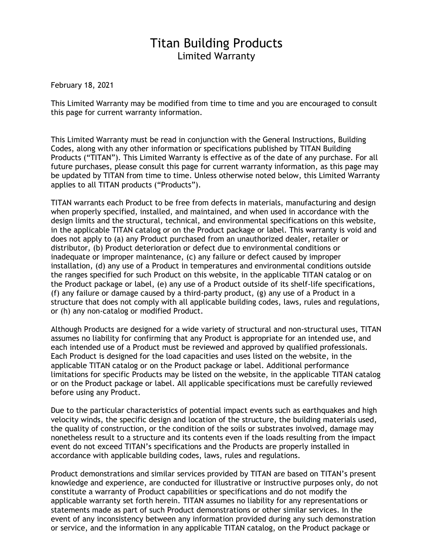## Titan Building Products Limited Warranty

February 18, 2021

This Limited Warranty may be modified from time to time and you are encouraged to consult this page for current warranty information.

This Limited Warranty must be read in conjunction with the General Instructions, Building Codes, along with any other information or specifications published by TITAN Building Products ("TITAN"). This Limited Warranty is effective as of the date of any purchase. For all future purchases, please consult this page for current warranty information, as this page may be updated by TITAN from time to time. Unless otherwise noted below, this Limited Warranty applies to all TITAN products ("Products").

TITAN warrants each Product to be free from defects in materials, manufacturing and design when properly specified, installed, and maintained, and when used in accordance with the design limits and the structural, technical, and environmental specifications on this website, in the applicable TITAN catalog or on the Product package or label. This warranty is void and does not apply to (a) any Product purchased from an unauthorized dealer, retailer or distributor, (b) Product deterioration or defect due to environmental conditions or inadequate or improper maintenance, (c) any failure or defect caused by improper installation, (d) any use of a Product in temperatures and environmental conditions outside the ranges specified for such Product on this website, in the applicable TITAN catalog or on the Product package or label, (e) any use of a Product outside of its shelf-life specifications, (f) any failure or damage caused by a third-party product, (g) any use of a Product in a structure that does not comply with all applicable building codes, laws, rules and regulations, or (h) any non-catalog or modified Product.

Although Products are designed for a wide variety of structural and non-structural uses, TITAN assumes no liability for confirming that any Product is appropriate for an intended use, and each intended use of a Product must be reviewed and approved by qualified professionals. Each Product is designed for the load capacities and uses listed on the website, in the applicable TITAN catalog or on the Product package or label. Additional performance limitations for specific Products may be listed on the website, in the applicable TITAN catalog or on the Product package or label. All applicable specifications must be carefully reviewed before using any Product.

Due to the particular characteristics of potential impact events such as earthquakes and high velocity winds, the specific design and location of the structure, the building materials used, the quality of construction, or the condition of the soils or substrates involved, damage may nonetheless result to a structure and its contents even if the loads resulting from the impact event do not exceed TITAN's specifications and the Products are properly installed in accordance with applicable building codes, laws, rules and regulations.

Product demonstrations and similar services provided by TITAN are based on TITAN's present knowledge and experience, are conducted for illustrative or instructive purposes only, do not constitute a warranty of Product capabilities or specifications and do not modify the applicable warranty set forth herein. TITAN assumes no liability for any representations or statements made as part of such Product demonstrations or other similar services. In the event of any inconsistency between any information provided during any such demonstration or service, and the information in any applicable TITAN catalog, on the Product package or